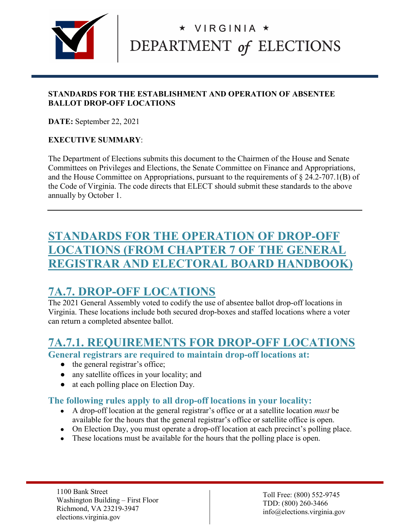

#### **STANDARDS FOR THE ESTABLISHMENT AND OPERATION OF ABSENTEE BALLOT DROP-OFF LOCATIONS**

**DATE:** September 22, 2021

#### **EXECUTIVE SUMMARY**:

The Department of Elections submits this document to the Chairmen of the House and Senate Committees on Privileges and Elections, the Senate Committee on Finance and Appropriations, and the House Committee on Appropriations, pursuant to the requirements of § 24.2-707.1(B) of the Code of Virginia. The code directs that ELECT should submit these standards to the above annually by October 1.

## **STANDARDS FOR THE OPERATION OF DROP-OFF LOCATIONS (FROM CHAPTER 7 OF THE GENERAL REGISTRAR AND ELECTORAL BOARD HANDBOOK)**

## **7A.7. DROP-OFF LOCATIONS**

The 2021 General Assembly voted to codify the use of absentee ballot drop-off locations in Virginia. These locations include both secured drop-boxes and staffed locations where a voter can return a completed absentee ballot.

## **7A.7.1. REQUIREMENTS FOR DROP-OFF LOCATIONS**

**General registrars are required to maintain drop-off locations at:**

- the general registrar's office;
- any satellite offices in your locality; and
- at each polling place on Election Day.

#### **The following rules apply to all drop-off locations in your locality:**

- A drop-off location at the general registrar's office or at a satellite location *must* be available for the hours that the general registrar's office or satellite office is open.
- On Election Day, you must operate a drop-off location at each precinct's polling place.
- These locations must be available for the hours that the polling place is open.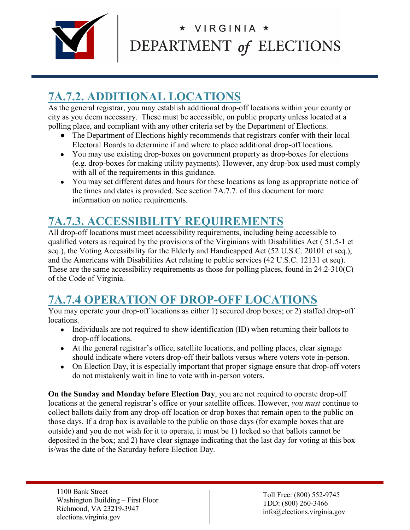

## **7A.7.2. ADDITIONAL LOCATIONS**

As the general registrar, you may establish additional drop-off locations within your county or city as you deem necessary. These must be accessible, on public property unless located at a polling place, and compliant with any other criteria set by the Department of Elections.

- The Department of Elections highly recommends that registrars confer with their local Electoral Boards to determine if and where to place additional drop-off locations.
- You may use existing drop-boxes on government property as drop-boxes for elections (e.g. drop-boxes for making utility payments). However, any drop-box used must comply with all of the requirements in this guidance.
- You may set different dates and hours for these locations as long as appropriate notice of the times and dates is provided. See section 7A.7.7. of this document for more information on notice requirements.

## **7A.7.3. ACCESSIBILITY REQUIREMENTS**

All drop-off locations must meet accessibility requirements, including being accessible to qualified voters as required by the provisions of the Virginians with Disabilities Act ( 51.5-1 et seq.), the Voting Accessibility for the Elderly and Handicapped Act (52 U.S.C. 20101 et seq.), and the Americans with Disabilities Act relating to public services (42 U.S.C. 12131 et seq). These are the same accessibility requirements as those for polling places, found in 24.2-310(C) of the Code of Virginia.

## **7A.7.4 OPERATION OF DROP-OFF LOCATIONS**

You may operate your drop-off locations as either 1) secured drop boxes; or 2) staffed drop-off locations.

- Individuals are not required to show identification (ID) when returning their ballots to drop-off locations.
- At the general registrar's office, satellite locations, and polling places, clear signage should indicate where voters drop-off their ballots versus where voters vote in-person.
- On Election Day, it is especially important that proper signage ensure that drop-off voters do not mistakenly wait in line to vote with in-person voters.

**On the Sunday and Monday before Election Day**, you are not required to operate drop-off locations at the general registrar's office or your satellite offices. However, *you must* continue to collect ballots daily from any drop-off location or drop boxes that remain open to the public on those days. If a drop box is available to the public on those days (for example boxes that are outside) and you do not wish for it to operate, it must be 1) locked so that ballots cannot be deposited in the box; and 2) have clear signage indicating that the last day for voting at this box is/was the date of the Saturday before Election Day.

1100 Bank Street Washington Building – First Floor Richmond, VA 23219-3947 elections.virginia.gov

Toll Free: (800) 552-9745 TDD: (800) 260-3466 info@elections.virginia.gov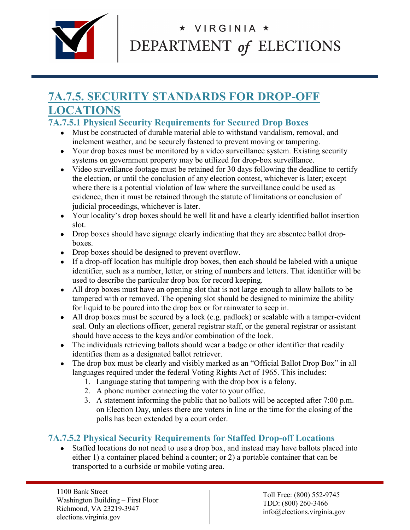

## **7A.7.5. SECURITY STANDARDS FOR DROP-OFF LOCATIONS**

#### **7A.7.5.1 Physical Security Requirements for Secured Drop Boxes**

- Must be constructed of durable material able to withstand vandalism, removal, and inclement weather, and be securely fastened to prevent moving or tampering.
- Your drop boxes must be monitored by a video surveillance system. Existing security systems on government property may be utilized for drop-box surveillance.
- Video surveillance footage must be retained for 30 days following the deadline to certify the election, or until the conclusion of any election contest, whichever is later; except where there is a potential violation of law where the surveillance could be used as evidence, then it must be retained through the statute of limitations or conclusion of judicial proceedings, whichever is later.
- Your locality's drop boxes should be well lit and have a clearly identified ballot insertion slot.
- Drop boxes should have signage clearly indicating that they are absentee ballot dropboxes.
- Drop boxes should be designed to prevent overflow.
- If a drop-off location has multiple drop boxes, then each should be labeled with a unique identifier, such as a number, letter, or string of numbers and letters. That identifier will be used to describe the particular drop box for record keeping.
- All drop boxes must have an opening slot that is not large enough to allow ballots to be tampered with or removed. The opening slot should be designed to minimize the ability for liquid to be poured into the drop box or for rainwater to seep in.
- All drop boxes must be secured by a lock (e.g. padlock) or sealable with a tamper-evident seal. Only an elections officer, general registrar staff, or the general registrar or assistant should have access to the keys and/or combination of the lock.
- The individuals retrieving ballots should wear a badge or other identifier that readily identifies them as a designated ballot retriever.
- The drop box must be clearly and visibly marked as an "Official Ballot Drop Box" in all languages required under the federal Voting Rights Act of 1965. This includes:
	- 1. Language stating that tampering with the drop box is a felony.
	- 2. A phone number connecting the voter to your office.
	- 3. A statement informing the public that no ballots will be accepted after 7:00 p.m. on Election Day, unless there are voters in line or the time for the closing of the polls has been extended by a court order.

### **7A.7.5.2 Physical Security Requirements for Staffed Drop-off Locations**

• Staffed locations do not need to use a drop box, and instead may have ballots placed into either 1) a container placed behind a counter; or 2) a portable container that can be transported to a curbside or mobile voting area.

1100 Bank Street Washington Building – First Floor Richmond, VA 23219-3947 elections.virginia.gov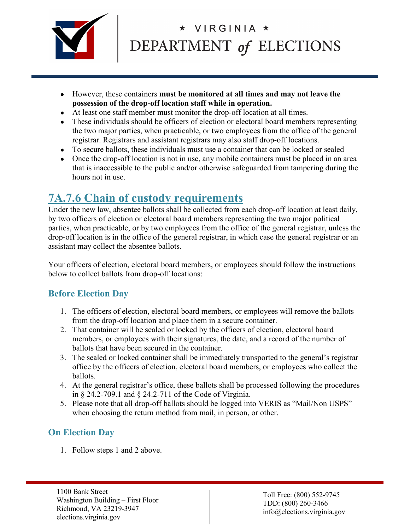

- However, these containers **must be monitored at all times and may not leave the possession of the drop-off location staff while in operation.**
- At least one staff member must monitor the drop-off location at all times.
- These individuals should be officers of election or electoral board members representing the two major parties, when practicable, or two employees from the office of the general registrar. Registrars and assistant registrars may also staff drop-off locations.
- To secure ballots, these individuals must use a container that can be locked or sealed
- Once the drop-off location is not in use, any mobile containers must be placed in an area that is inaccessible to the public and/or otherwise safeguarded from tampering during the hours not in use.

## **7A.7.6 Chain of custody requirements**

Under the new law, absentee ballots shall be collected from each drop-off location at least daily, by two officers of election or electoral board members representing the two major political parties, when practicable, or by two employees from the office of the general registrar, unless the drop-off location is in the office of the general registrar, in which case the general registrar or an assistant may collect the absentee ballots.

Your officers of election, electoral board members, or employees should follow the instructions below to collect ballots from drop-off locations:

### **Before Election Day**

- 1. The officers of election, electoral board members, or employees will remove the ballots from the drop-off location and place them in a secure container.
- 2. That container will be sealed or locked by the officers of election, electoral board members, or employees with their signatures, the date, and a record of the number of ballots that have been secured in the container.
- 3. The sealed or locked container shall be immediately transported to the general's registrar office by the officers of election, electoral board members, or employees who collect the ballots.
- 4. At the general registrar's office, these ballots shall be processed following the procedures in § 24.2-709.1 and § 24.2-711 of the Code of Virginia.
- 5. Please note that all drop-off ballots should be logged into VERIS as "Mail/Non USPS" when choosing the return method from mail, in person, or other.

### **On Election Day**

1. Follow steps 1 and 2 above.

1100 Bank Street Washington Building – First Floor Richmond, VA 23219-3947 elections.virginia.gov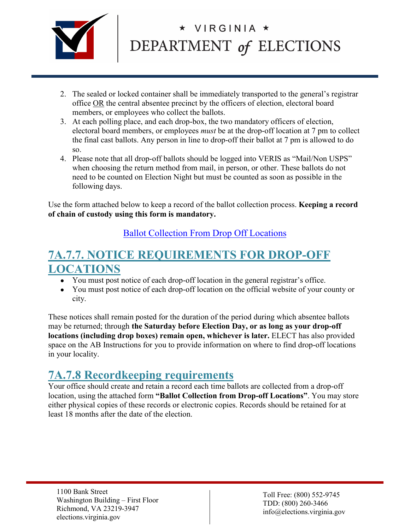

- 2. The sealed or locked container shall be immediately transported to the general's registrar office OR the central absentee precinct by the officers of election, electoral board members, or employees who collect the ballots.
- 3. At each polling place, and each drop-box, the two mandatory officers of election, electoral board members, or employees *must* be at the drop-off location at 7 pm to collect the final cast ballots. Any person in line to drop-off their ballot at 7 pm is allowed to do so.
- 4. Please note that all drop-off ballots should be logged into VERIS as "Mail/Non USPS" when choosing the return method from mail, in person, or other. These ballots do not need to be counted on Election Night but must be counted as soon as possible in the following days.

Use the form attached below to keep a record of the ballot collection process. **Keeping a record of chain of custody using this form is mandatory.**

[Ballot Collection From Drop Off Locations](https://www.elections.virginia.gov/media/formswarehouse/absentee-voting/cap/ELECT-C1289(B6)-Ballot-Collection-From-Drop-Off-Locations.pdf)

## **7A.7.7. NOTICE REQUIREMENTS FOR DROP-OFF LOCATIONS**

- You must post notice of each drop-off location in the general registrar's office.
- You must post notice of each drop-off location on the official website of your county or city.

These notices shall remain posted for the duration of the period during which absentee ballots may be returned; through **the Saturday before Election Day, or as long as your drop-off locations (including drop boxes) remain open, whichever is later.** ELECT has also provided space on the AB Instructions for you to provide information on where to find drop-off locations in your locality.

## **7A.7.8 Recordkeeping requirements**

Your office should create and retain a record each time ballots are collected from a drop-off location, using the attached form **"Ballot Collection from Drop-off Locations"**. You may store either physical copies of these records or electronic copies. Records should be retained for at least 18 months after the date of the election.